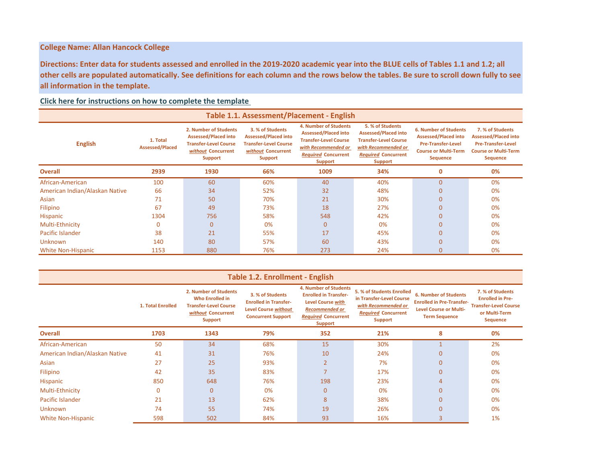# **College Name: Allan Hancock College**

**Directions: Enter data for students assessed and enrolled in the 2019-2020 academic year into the BLUE cells of Tables 1.1 and 1.2; all other cells are populated automatically. See definitions for each column and the rows below the tables. Be sure to scroll down fully to see all information in the template.** 

## **Click here for instructions on how to complete the template**

| Table 1.1. Assessment/Placement - English |                                    |                                                                                                                       |                                                                                                                         |                                                                                                                                                                    |                                                                                                                                                        |                                                                                                                                            |                                                                                                                                |  |  |  |
|-------------------------------------------|------------------------------------|-----------------------------------------------------------------------------------------------------------------------|-------------------------------------------------------------------------------------------------------------------------|--------------------------------------------------------------------------------------------------------------------------------------------------------------------|--------------------------------------------------------------------------------------------------------------------------------------------------------|--------------------------------------------------------------------------------------------------------------------------------------------|--------------------------------------------------------------------------------------------------------------------------------|--|--|--|
| <b>English</b>                            | 1. Total<br><b>Assessed/Placed</b> | 2. Number of Students<br><b>Assessed/Placed into</b><br><b>Transfer-Level Course</b><br>without Concurrent<br>Support | 3. % of Students<br><b>Assessed/Placed into</b><br><b>Transfer-Level Course</b><br>without Concurrent<br><b>Support</b> | <b>4. Number of Students</b><br><b>Assessed/Placed into</b><br><b>Transfer-Level Course</b><br>with Recommended or<br><b>Required Concurrent</b><br><b>Support</b> | 5. % of Students<br><b>Assessed/Placed into</b><br><b>Transfer-Level Course</b><br>with Recommended or<br><b>Required Concurrent</b><br><b>Support</b> | <b>6. Number of Students</b><br><b>Assessed/Placed into</b><br><b>Pre-Transfer-Level</b><br><b>Course or Multi-Term</b><br><b>Sequence</b> | 7. % of Students<br><b>Assessed/Placed into</b><br><b>Pre-Transfer-Level</b><br><b>Course or Multi-Term</b><br><b>Sequence</b> |  |  |  |
| <b>Overall</b>                            | 2939                               | 1930                                                                                                                  | 66%                                                                                                                     | 1009                                                                                                                                                               | 34%                                                                                                                                                    | $\mathbf 0$                                                                                                                                | 0%                                                                                                                             |  |  |  |
| African-American                          | 100                                | 60                                                                                                                    | 60%                                                                                                                     | 40                                                                                                                                                                 | 40%                                                                                                                                                    | $\overline{0}$                                                                                                                             | 0%                                                                                                                             |  |  |  |
| American Indian/Alaskan Native            | 66                                 | 34                                                                                                                    | 52%                                                                                                                     | 32                                                                                                                                                                 | 48%                                                                                                                                                    | $\mathbf 0$                                                                                                                                | 0%                                                                                                                             |  |  |  |
| Asian                                     | 71                                 | 50                                                                                                                    | 70%                                                                                                                     | 21                                                                                                                                                                 | 30%                                                                                                                                                    | $\Omega$                                                                                                                                   | 0%                                                                                                                             |  |  |  |
| <b>Filipino</b>                           | 67                                 | 49                                                                                                                    | 73%                                                                                                                     | 18                                                                                                                                                                 | 27%                                                                                                                                                    | $\Omega$                                                                                                                                   | 0%                                                                                                                             |  |  |  |
| Hispanic                                  | 1304                               | 756                                                                                                                   | 58%                                                                                                                     | 548                                                                                                                                                                | 42%                                                                                                                                                    | $\overline{0}$                                                                                                                             | 0%                                                                                                                             |  |  |  |
| Multi-Ethnicity                           | 0                                  | $\mathbf{0}$                                                                                                          | 0%                                                                                                                      | $\mathbf{0}$                                                                                                                                                       | 0%                                                                                                                                                     | $\Omega$                                                                                                                                   | 0%                                                                                                                             |  |  |  |
| Pacific Islander                          | 38                                 | 21                                                                                                                    | 55%                                                                                                                     | 17                                                                                                                                                                 | 45%                                                                                                                                                    | $\overline{0}$                                                                                                                             | 0%                                                                                                                             |  |  |  |
| <b>Unknown</b>                            | 140                                | 80                                                                                                                    | 57%                                                                                                                     | 60                                                                                                                                                                 | 43%                                                                                                                                                    | $\Omega$                                                                                                                                   | 0%                                                                                                                             |  |  |  |
| <b>White Non-Hispanic</b>                 | 1153                               | 880                                                                                                                   | 76%                                                                                                                     | 273                                                                                                                                                                | 24%                                                                                                                                                    | $\Omega$                                                                                                                                   | 0%                                                                                                                             |  |  |  |

| <b>Table 1.2. Enrollment - English</b> |                   |                                                                                                                         |                                                                                                              |                                                                                                                                                     |                                                                                                                              |                                                                                                                           |                                                                                                                 |  |  |  |  |
|----------------------------------------|-------------------|-------------------------------------------------------------------------------------------------------------------------|--------------------------------------------------------------------------------------------------------------|-----------------------------------------------------------------------------------------------------------------------------------------------------|------------------------------------------------------------------------------------------------------------------------------|---------------------------------------------------------------------------------------------------------------------------|-----------------------------------------------------------------------------------------------------------------|--|--|--|--|
|                                        | 1. Total Enrolled | 2. Number of Students<br><b>Who Enrolled in</b><br><b>Transfer-Level Course</b><br>without Concurrent<br><b>Support</b> | 3. % of Students<br><b>Enrolled in Transfer-</b><br><b>Level Course without</b><br><b>Concurrent Support</b> | 4. Number of Students<br><b>Enrolled in Transfer-</b><br><b>Level Course with</b><br><b>Recommended or</b><br><b>Required Concurrent</b><br>Support | 5. % of Students Enrolled<br>in Transfer-Level Course<br>with Recommended or<br><b>Required Concurrent</b><br><b>Support</b> | <b>6. Number of Students</b><br><b>Enrolled in Pre-Transfer-</b><br><b>Level Course or Multi-</b><br><b>Term Sequence</b> | 7. % of Students<br><b>Enrolled in Pre-</b><br><b>Transfer-Level Course</b><br>or Multi-Term<br><b>Sequence</b> |  |  |  |  |
| <b>Overall</b>                         | 1703              | 1343                                                                                                                    | 79%                                                                                                          | 352                                                                                                                                                 | 21%                                                                                                                          | 8                                                                                                                         | 0%                                                                                                              |  |  |  |  |
| African-American                       | 50                | 34                                                                                                                      | 68%                                                                                                          | 15                                                                                                                                                  | 30%                                                                                                                          |                                                                                                                           | 2%                                                                                                              |  |  |  |  |
| American Indian/Alaskan Native         | 41                | 31                                                                                                                      | 76%                                                                                                          | 10                                                                                                                                                  | 24%                                                                                                                          | 0                                                                                                                         | 0%                                                                                                              |  |  |  |  |
| Asian                                  | 27                | 25                                                                                                                      | 93%                                                                                                          | $\overline{2}$                                                                                                                                      | 7%                                                                                                                           | 0                                                                                                                         | 0%                                                                                                              |  |  |  |  |
| Filipino                               | 42                | 35                                                                                                                      | 83%                                                                                                          | 7                                                                                                                                                   | 17%                                                                                                                          | 0                                                                                                                         | 0%                                                                                                              |  |  |  |  |
| Hispanic                               | 850               | 648                                                                                                                     | 76%                                                                                                          | 198                                                                                                                                                 | 23%                                                                                                                          | 4                                                                                                                         | 0%                                                                                                              |  |  |  |  |
| Multi-Ethnicity                        | 0                 | $\overline{0}$                                                                                                          | 0%                                                                                                           | $\overline{0}$                                                                                                                                      | 0%                                                                                                                           | $\overline{0}$                                                                                                            | 0%                                                                                                              |  |  |  |  |
| Pacific Islander                       | 21                | 13                                                                                                                      | 62%                                                                                                          | 8                                                                                                                                                   | 38%                                                                                                                          | 0                                                                                                                         | 0%                                                                                                              |  |  |  |  |
| <b>Unknown</b>                         | 74                | 55                                                                                                                      | 74%                                                                                                          | 19                                                                                                                                                  | 26%                                                                                                                          | 0                                                                                                                         | 0%                                                                                                              |  |  |  |  |
| <b>White Non-Hispanic</b>              | 598               | 502                                                                                                                     | 84%                                                                                                          | 93                                                                                                                                                  | 16%                                                                                                                          | 3                                                                                                                         | 1%                                                                                                              |  |  |  |  |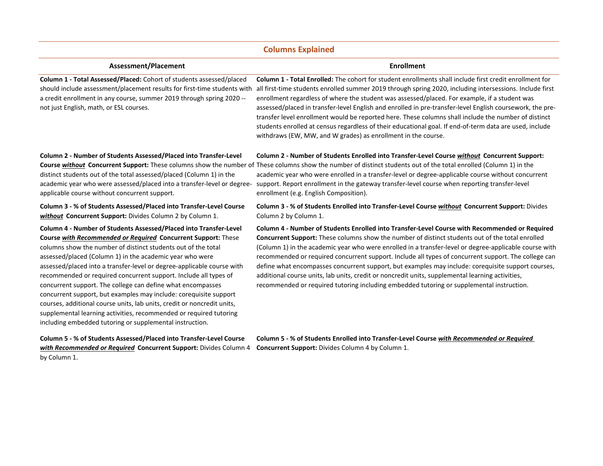# **Columns Explained**

| Assessment/Placement                                                                                                                                                                                                                                                                                                                                                                                                                                                                                                                                                                                                                                                                                                                                           | <b>Enrollment</b>                                                                                                                                                                                                                                                                                                                                                                                                                                                                                                                                                                                                                                                                                                           |
|----------------------------------------------------------------------------------------------------------------------------------------------------------------------------------------------------------------------------------------------------------------------------------------------------------------------------------------------------------------------------------------------------------------------------------------------------------------------------------------------------------------------------------------------------------------------------------------------------------------------------------------------------------------------------------------------------------------------------------------------------------------|-----------------------------------------------------------------------------------------------------------------------------------------------------------------------------------------------------------------------------------------------------------------------------------------------------------------------------------------------------------------------------------------------------------------------------------------------------------------------------------------------------------------------------------------------------------------------------------------------------------------------------------------------------------------------------------------------------------------------------|
| Column 1 - Total Assessed/Placed: Cohort of students assessed/placed<br>should include assessment/placement results for first-time students with<br>a credit enrollment in any course, summer 2019 through spring 2020 --<br>not just English, math, or ESL courses.                                                                                                                                                                                                                                                                                                                                                                                                                                                                                           | Column 1 - Total Enrolled: The cohort for student enrollments shall include first credit enrollment for<br>all first-time students enrolled summer 2019 through spring 2020, including intersessions. Include first<br>enrollment regardless of where the student was assessed/placed. For example, if a student was<br>assessed/placed in transfer-level English and enrolled in pre-transfer-level English coursework, the pre-<br>transfer level enrollment would be reported here. These columns shall include the number of distinct<br>students enrolled at census regardless of their educational goal. If end-of-term data are used, include<br>withdraws (EW, MW, and W grades) as enrollment in the course.       |
| Column 2 - Number of Students Assessed/Placed into Transfer-Level<br>distinct students out of the total assessed/placed (Column 1) in the<br>applicable course without concurrent support.                                                                                                                                                                                                                                                                                                                                                                                                                                                                                                                                                                     | Column 2 - Number of Students Enrolled into Transfer-Level Course without Concurrent Support:<br>Course <b>without</b> Concurrent Support: These columns show the number of These columns show the number of distinct students out of the total enrolled (Column 1) in the<br>academic year who were enrolled in a transfer-level or degree-applicable course without concurrent<br>academic year who were assessed/placed into a transfer-level or degree- support. Report enrollment in the gateway transfer-level course when reporting transfer-level<br>enrollment (e.g. English Composition).                                                                                                                         |
| Column 3 - % of Students Assessed/Placed into Transfer-Level Course<br>without Concurrent Support: Divides Column 2 by Column 1.                                                                                                                                                                                                                                                                                                                                                                                                                                                                                                                                                                                                                               | Column 3 - % of Students Enrolled into Transfer-Level Course without Concurrent Support: Divides<br>Column 2 by Column 1.                                                                                                                                                                                                                                                                                                                                                                                                                                                                                                                                                                                                   |
| Column 4 - Number of Students Assessed/Placed into Transfer-Level<br>Course with Recommended or Required Concurrent Support: These<br>columns show the number of distinct students out of the total<br>assessed/placed (Column 1) in the academic year who were<br>assessed/placed into a transfer-level or degree-applicable course with<br>recommended or required concurrent support. Include all types of<br>concurrent support. The college can define what encompasses<br>concurrent support, but examples may include: corequisite support<br>courses, additional course units, lab units, credit or noncredit units,<br>supplemental learning activities, recommended or required tutoring<br>including embedded tutoring or supplemental instruction. | Column 4 - Number of Students Enrolled into Transfer-Level Course with Recommended or Required<br>Concurrent Support: These columns show the number of distinct students out of the total enrolled<br>(Column 1) in the academic year who were enrolled in a transfer-level or degree-applicable course with<br>recommended or required concurrent support. Include all types of concurrent support. The college can<br>define what encompasses concurrent support, but examples may include: corequisite support courses,<br>additional course units, lab units, credit or noncredit units, supplemental learning activities,<br>recommended or required tutoring including embedded tutoring or supplemental instruction. |
| Column 5 - % of Students Assessed/Placed into Transfer-Level Course<br>with Recommended or Required Concurrent Support: Divides Column 4<br>by Column 1.                                                                                                                                                                                                                                                                                                                                                                                                                                                                                                                                                                                                       | Column 5 - % of Students Enrolled into Transfer-Level Course with Recommended or Required<br>Concurrent Support: Divides Column 4 by Column 1.                                                                                                                                                                                                                                                                                                                                                                                                                                                                                                                                                                              |
|                                                                                                                                                                                                                                                                                                                                                                                                                                                                                                                                                                                                                                                                                                                                                                |                                                                                                                                                                                                                                                                                                                                                                                                                                                                                                                                                                                                                                                                                                                             |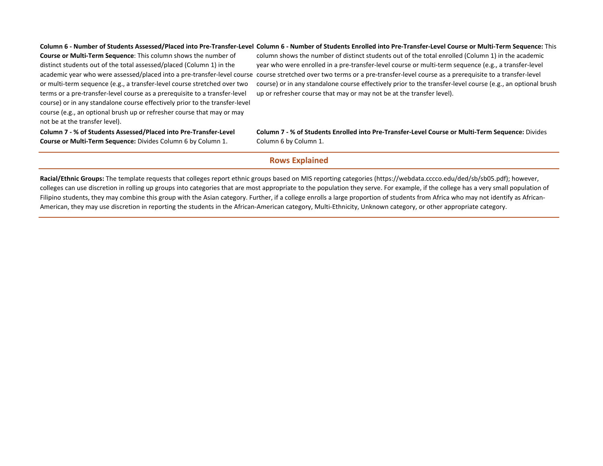#### Column 6 - Number of Students Assessed/Placed into Pre-Transfer-Level Column 6 - Number of Students Enrolled into Pre-Transfer-Level Course or Multi-Term Sequence: This

**Course or Multi-Term Sequence**: This column shows the number of distinct students out of the total assessed/placed (Column 1) in the or multi-term sequence (e.g., a transfer-level course stretched over two terms or a pre-transfer-level course as a prerequisite to a transfer-level course) or in any standalone course effectively prior to the transfer-level course (e.g., an optional brush up or refresher course that may or may not be at the transfer level).

academic year who were assessed/placed into a pre-transfer-level course course stretched over two terms or a pre-transfer-level course as a prerequisite to a transfer-level column shows the number of distinct students out of the total enrolled (Column 1) in the academic year who were enrolled in a pre-transfer-level course or multi-term sequence (e.g., a transfer-level course) or in any standalone course effectively prior to the transfer-level course (e.g., an optional brush up or refresher course that may or may not be at the transfer level).

**Column 7 - % of Students Assessed/Placed into Pre-Transfer-Level Course or Multi-Term Sequence:** Divides Column 6 by Column 1.

**Column 7 - % of Students Enrolled into Pre-Transfer-Level Course or Multi-Term Sequence:** Divides Column 6 by Column 1.

## **Rows Explained**

**Racial/Ethnic Groups:** The template requests that colleges report ethnic groups based on MIS reporting categories (https://webdata.cccco.edu/ded/sb/sb05.pdf); however, colleges can use discretion in rolling up groups into categories that are most appropriate to the population they serve. For example, if the college has a very small population of Filipino students, they may combine this group with the Asian category. Further, if a college enrolls a large proportion of students from Africa who may not identify as African-American, they may use discretion in reporting the students in the African-American category, Multi-Ethnicity, Unknown category, or other appropriate category.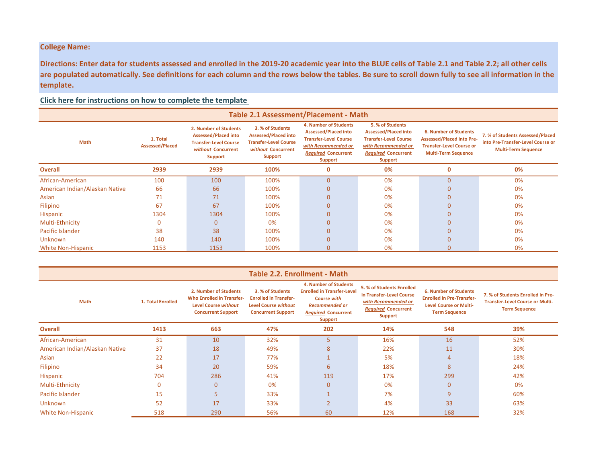# **College Name:**

**Directions: Enter data for students assessed and enrolled in the 2019-20 academic year into the BLUE cells of Table 2.1 and Table 2.2; all other cells are populated automatically. See definitions for each column and the rows below the tables. Be sure to scroll down fully to see all information in the template.** 

**Click here for instructions on how to complete the template** 

| <b>Table 2.1 Assessment/Placement - Math</b> |                                    |                                                                                                                              |                                                                                                                         |                                                                                                                                                                    |                                                                                                                                                        |                                                                                                                                   |                                                                                                     |  |  |  |
|----------------------------------------------|------------------------------------|------------------------------------------------------------------------------------------------------------------------------|-------------------------------------------------------------------------------------------------------------------------|--------------------------------------------------------------------------------------------------------------------------------------------------------------------|--------------------------------------------------------------------------------------------------------------------------------------------------------|-----------------------------------------------------------------------------------------------------------------------------------|-----------------------------------------------------------------------------------------------------|--|--|--|
| <b>Math</b>                                  | 1. Total<br><b>Assessed/Placed</b> | 2. Number of Students<br><b>Assessed/Placed into</b><br><b>Transfer-Level Course</b><br>without Concurrent<br><b>Support</b> | 3. % of Students<br><b>Assessed/Placed into</b><br><b>Transfer-Level Course</b><br>without Concurrent<br><b>Support</b> | <b>4. Number of Students</b><br><b>Assessed/Placed into</b><br><b>Transfer-Level Course</b><br>with Recommended or<br><b>Required Concurrent</b><br><b>Support</b> | 5. % of Students<br><b>Assessed/Placed into</b><br><b>Transfer-Level Course</b><br>with Recommended or<br><b>Required Concurrent</b><br><b>Support</b> | <b>6. Number of Students</b><br><b>Assessed/Placed into Pre-</b><br><b>Transfer-Level Course or</b><br><b>Multi-Term Sequence</b> | 7. % of Students Assessed/Placed<br>into Pre-Transfer-Level Course or<br><b>Multi-Term Sequence</b> |  |  |  |
| <b>Overall</b>                               | 2939                               | 2939                                                                                                                         | 100%                                                                                                                    | 0                                                                                                                                                                  | 0%                                                                                                                                                     | 0                                                                                                                                 | 0%                                                                                                  |  |  |  |
| African-American                             | 100                                | 100                                                                                                                          | 100%                                                                                                                    | $\Omega$                                                                                                                                                           | 0%                                                                                                                                                     | O                                                                                                                                 | 0%                                                                                                  |  |  |  |
| American Indian/Alaskan Native               | 66                                 | 66                                                                                                                           | 100%                                                                                                                    | $\Omega$                                                                                                                                                           | 0%                                                                                                                                                     | 0                                                                                                                                 | 0%                                                                                                  |  |  |  |
| Asian                                        | 71                                 | 71                                                                                                                           | 100%                                                                                                                    | $\Omega$                                                                                                                                                           | 0%                                                                                                                                                     | $\Omega$                                                                                                                          | 0%                                                                                                  |  |  |  |
| Filipino                                     | 67                                 | 67                                                                                                                           | 100%                                                                                                                    | $\Omega$                                                                                                                                                           | 0%                                                                                                                                                     | n                                                                                                                                 | 0%                                                                                                  |  |  |  |
| Hispanic                                     | 1304                               | 1304                                                                                                                         | 100%                                                                                                                    | $\Omega$                                                                                                                                                           | 0%                                                                                                                                                     |                                                                                                                                   | 0%                                                                                                  |  |  |  |
| Multi-Ethnicity                              |                                    | 0                                                                                                                            | 0%                                                                                                                      |                                                                                                                                                                    | 0%                                                                                                                                                     |                                                                                                                                   | 0%                                                                                                  |  |  |  |
| Pacific Islander                             | 38                                 | 38                                                                                                                           | 100%                                                                                                                    |                                                                                                                                                                    | 0%                                                                                                                                                     |                                                                                                                                   | 0%                                                                                                  |  |  |  |
| <b>Unknown</b>                               | 140                                | 140                                                                                                                          | 100%                                                                                                                    |                                                                                                                                                                    | 0%                                                                                                                                                     | 0                                                                                                                                 | 0%                                                                                                  |  |  |  |
| White Non-Hispanic                           | 1153                               | 1153                                                                                                                         | 100%                                                                                                                    | $\Omega$                                                                                                                                                           | 0%                                                                                                                                                     | 0                                                                                                                                 | 0%                                                                                                  |  |  |  |

| <b>Table 2.2. Enrollment - Math</b> |                   |                                                                                                                       |                                                                                                              |                                                                                                                                                           |                                                                                                                              |                                                                                                                           |                                                                                                     |  |  |  |
|-------------------------------------|-------------------|-----------------------------------------------------------------------------------------------------------------------|--------------------------------------------------------------------------------------------------------------|-----------------------------------------------------------------------------------------------------------------------------------------------------------|------------------------------------------------------------------------------------------------------------------------------|---------------------------------------------------------------------------------------------------------------------------|-----------------------------------------------------------------------------------------------------|--|--|--|
| Math                                | 1. Total Enrolled | 2. Number of Students<br><b>Who Enrolled in Transfer-</b><br><b>Level Course without</b><br><b>Concurrent Support</b> | 3. % of Students<br><b>Enrolled in Transfer-</b><br><b>Level Course without</b><br><b>Concurrent Support</b> | <b>4. Number of Students</b><br><b>Enrolled in Transfer-Level</b><br>Course with<br><b>Recommended or</b><br><b>Required Concurrent</b><br><b>Support</b> | 5. % of Students Enrolled<br>in Transfer-Level Course<br>with Recommended or<br><b>Required Concurrent</b><br><b>Support</b> | <b>6. Number of Students</b><br><b>Enrolled in Pre-Transfer-</b><br><b>Level Course or Multi-</b><br><b>Term Sequence</b> | 7. % of Students Enrolled in Pre-<br><b>Transfer-Level Course or Multi-</b><br><b>Term Sequence</b> |  |  |  |
| <b>Overall</b>                      | 1413              | 663                                                                                                                   | 47%                                                                                                          | 202                                                                                                                                                       | 14%                                                                                                                          | 548                                                                                                                       | 39%                                                                                                 |  |  |  |
| African-American                    | 31                | 10                                                                                                                    | 32%                                                                                                          |                                                                                                                                                           | 16%                                                                                                                          | 16                                                                                                                        | 52%                                                                                                 |  |  |  |
| American Indian/Alaskan Native      | 37                | 18                                                                                                                    | 49%                                                                                                          | 8                                                                                                                                                         | 22%                                                                                                                          | 11                                                                                                                        | 30%                                                                                                 |  |  |  |
| Asian                               | 22                | 17                                                                                                                    | 77%                                                                                                          |                                                                                                                                                           | 5%                                                                                                                           | 4                                                                                                                         | 18%                                                                                                 |  |  |  |
| Filipino                            | 34                | 20                                                                                                                    | 59%                                                                                                          | 6                                                                                                                                                         | 18%                                                                                                                          | 8                                                                                                                         | 24%                                                                                                 |  |  |  |
| Hispanic                            | 704               | 286                                                                                                                   | 41%                                                                                                          | 119                                                                                                                                                       | 17%                                                                                                                          | 299                                                                                                                       | 42%                                                                                                 |  |  |  |
| Multi-Ethnicity                     | $\Omega$          | $\Omega$                                                                                                              | 0%                                                                                                           | $\Omega$                                                                                                                                                  | 0%                                                                                                                           | $\Omega$                                                                                                                  | 0%                                                                                                  |  |  |  |
| Pacific Islander                    | 15                |                                                                                                                       | 33%                                                                                                          |                                                                                                                                                           | 7%                                                                                                                           | 9                                                                                                                         | 60%                                                                                                 |  |  |  |
| <b>Unknown</b>                      | 52                | 17                                                                                                                    | 33%                                                                                                          | $\overline{ }$                                                                                                                                            | 4%                                                                                                                           | 33                                                                                                                        | 63%                                                                                                 |  |  |  |
| White Non-Hispanic                  | 518               | 290                                                                                                                   | 56%                                                                                                          | 60                                                                                                                                                        | 12%                                                                                                                          | 168                                                                                                                       | 32%                                                                                                 |  |  |  |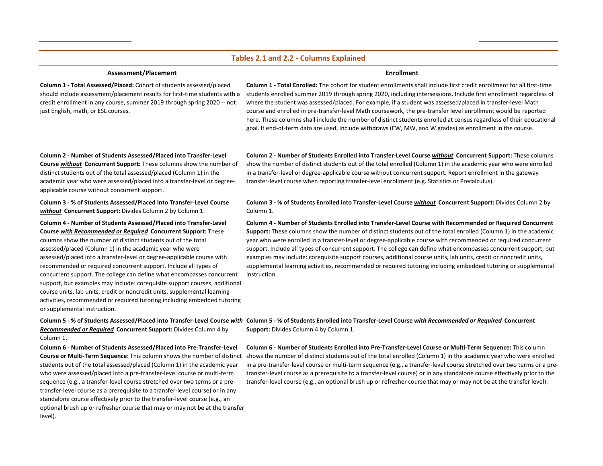#### **Tables 2.1 and 2.2 - Columns Explained**

#### **Assessment/Placement Enrollment**

**Column 1 - Total Assessed/Placed:** Cohort of students assessed/placed should include assessment/placement results for first-time students with a credit enrollment in any course, summer 2019 through spring 2020 -- not just English, math, or ESL courses.

**Column 1 - Total Enrolled:** The cohort for student enrollments shall include first credit enrollment for all first-time students enrolled summer 2019 through spring 2020, including intersessions. Include first enrollment regardless of where the student was assessed/placed. For example, if a student was assessed/placed in transfer-level Math course and enrolled in pre-transfer-level Math coursework, the pre-transfer level enrollment would be reported here. These columns shall include the number of distinct students enrolled at census regardless of their educational goal. If end-of-term data are used, include withdraws (EW, MW, and W grades) as enrollment in the course.

**Column 2 - Number of Students Assessed/Placed into Transfer-Level Course** *without* **Concurrent Support:** These columns show the number of distinct students out of the total assessed/placed (Column 1) in the academic year who were assessed/placed into a transfer-level or degreeapplicable course without concurrent support.

**Column 3 - % of Students Assessed/Placed into Transfer-Level Course**  *without* **Concurrent Support:** Divides Column 2 by Column 1.

**Column 4 - Number of Students Assessed/Placed into Transfer-Level Course** *with Recommended or Required* **Concurrent Support:** These columns show the number of distinct students out of the total assessed/placed (Column 1) in the academic year who were assessed/placed into a transfer-level or degree-applicable course with recommended or required concurrent support. Include all types of concurrent support. The college can define what encompasses concurrent support, but examples may include: corequisite support courses, additional course units, lab units, credit or noncredit units, supplemental learning activities, recommended or required tutoring including embedded tutoring or supplemental instruction.

**Column 2 - Number of Students Enrolled into Transfer-Level Course** *without* **Concurrent Support:** These columns show the number of distinct students out of the total enrolled (Column 1) in the academic year who were enrolled in a transfer-level or degree-applicable course without concurrent support. Report enrollment in the gateway transfer-level course when reporting transfer-level enrollment (e.g. Statistics or Precalculus).

#### **Column 3 - % of Students Enrolled into Transfer-Level Course** *without* **Concurrent Support:** Divides Column 2 by Column 1.

**Column 4 - Number of Students Enrolled into Transfer-Level Course with Recommended or Required Concurrent Support:** These columns show the number of distinct students out of the total enrolled (Column 1) in the academic year who were enrolled in a transfer-level or degree-applicable course with recommended or required concurrent support. Include all types of concurrent support. The college can define what encompasses concurrent support, but examples may include: corequisite support courses, additional course units, lab units, credit or noncredit units, supplemental learning activities, recommended or required tutoring including embedded tutoring or supplemental instruction.

Column 5 - % of Students Assessed/Placed into Transfer-Level Course <u>with</u> Column 5 - % of Students Enrolled into Transfer-Level Course <u>with Recommended or Required</u> Concurrent *Recommended or Required* **Concurrent Support:** Divides Column 4 by **Support:** Divides Column 4 by Column 1.

Column 1.

**Column 6 - Number of Students Assessed/Placed into Pre-Transfer-Level Course or Multi-Term Sequence**: This column shows the number of distinct students out of the total assessed/placed (Column 1) in the academic year who were assessed/placed into a pre-transfer-level course or multi-term sequence (e.g., a transfer-level course stretched over two terms or a pretransfer-level course as a prerequisite to a transfer-level course) or in any standalone course effectively prior to the transfer-level course (e.g., an optional brush up or refresher course that may or may not be at the transfer level).

**Column 6 - Number of Students Enrolled into Pre-Transfer-Level Course or Multi-Term Sequence:** This column shows the number of distinct students out of the total enrolled (Column 1) in the academic year who were enrolled in a pre-transfer-level course or multi-term sequence (e.g., a transfer-level course stretched over two terms or a pretransfer-level course as a prerequisite to a transfer-level course) or in any standalone course effectively prior to the transfer-level course (e.g., an optional brush up or refresher course that may or may not be at the transfer level).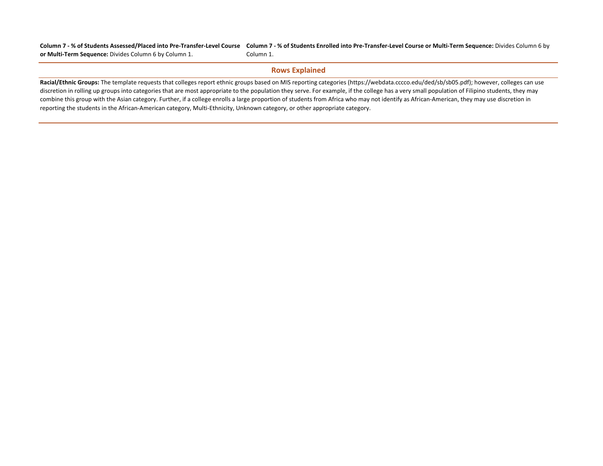Column 7 - % of Students Assessed/Placed into Pre-Transfer-Level Course Column 7 - % of Students Enrolled into Pre-Transfer-Level Course or Multi-Term Sequence: Divides Column 6 by **or Multi-Term Sequence:** Divides Column 6 by Column 1. Column 1.

### **Rows Explained**

**Racial/Ethnic Groups:** The template requests that colleges report ethnic groups based on MIS reporting categories (https://webdata.cccco.edu/ded/sb/sb05.pdf); however, colleges can use discretion in rolling up groups into categories that are most appropriate to the population they serve. For example, if the college has a very small population of Filipino students, they may combine this group with the Asian category. Further, if a college enrolls a large proportion of students from Africa who may not identify as African-American, they may use discretion in reporting the students in the African-American category, Multi-Ethnicity, Unknown category, or other appropriate category.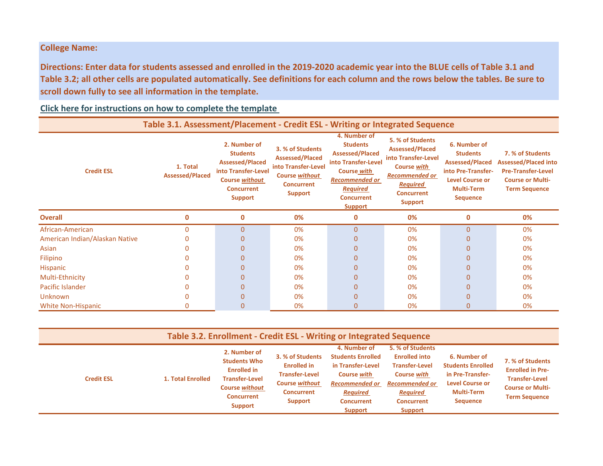# **College Name:**

**Directions: Enter data for students assessed and enrolled in the 2019-2020 academic year into the BLUE cells of Table 3.1 and Table 3.2; all other cells are populated automatically. See definitions for each column and the rows below the tables. Be sure to scroll down fully to see all information in the template.** 

# **Click here for instructions on how to complete the template**

| Table 3.1. Assessment/Placement - Credit ESL - Writing or Integrated Sequence |                                    |                                                                                                                                                  |                                                                                                                                   |                                                                                                                                                                                    |                                                                                                                                                                            |                                                                                                                                                   |                                                                                                                                 |  |  |  |
|-------------------------------------------------------------------------------|------------------------------------|--------------------------------------------------------------------------------------------------------------------------------------------------|-----------------------------------------------------------------------------------------------------------------------------------|------------------------------------------------------------------------------------------------------------------------------------------------------------------------------------|----------------------------------------------------------------------------------------------------------------------------------------------------------------------------|---------------------------------------------------------------------------------------------------------------------------------------------------|---------------------------------------------------------------------------------------------------------------------------------|--|--|--|
| <b>Credit ESL</b>                                                             | 1. Total<br><b>Assessed/Placed</b> | 2. Number of<br><b>Students</b><br><b>Assessed/Placed</b><br>into Transfer-Level<br><b>Course without</b><br><b>Concurrent</b><br><b>Support</b> | 3. % of Students<br><b>Assessed/Placed</b><br>into Transfer-Level<br><b>Course without</b><br><b>Concurrent</b><br><b>Support</b> | 4. Number of<br><b>Students</b><br><b>Assessed/Placed</b><br>into Transfer-Level<br>Course with<br><b>Recommended or</b><br><b>Required</b><br><b>Concurrent</b><br><b>Support</b> | 5. % of Students<br><b>Assessed/Placed</b><br>into Transfer-Level<br><b>Course with</b><br><b>Recommended or</b><br><b>Required</b><br><b>Concurrent</b><br><b>Support</b> | 6. Number of<br><b>Students</b><br><b>Assessed/Placed</b><br>into Pre-Transfer-<br><b>Level Course or</b><br><b>Multi-Term</b><br><b>Sequence</b> | 7. % of Students<br><b>Assessed/Placed into</b><br><b>Pre-Transfer-Level</b><br><b>Course or Multi-</b><br><b>Term Sequence</b> |  |  |  |
| <b>Overall</b>                                                                | 0                                  | $\mathbf 0$                                                                                                                                      | 0%                                                                                                                                | 0                                                                                                                                                                                  | 0%                                                                                                                                                                         | 0                                                                                                                                                 | 0%                                                                                                                              |  |  |  |
| African-American                                                              | $\Omega$                           | $\mathbf{0}$                                                                                                                                     | 0%                                                                                                                                | $\overline{0}$                                                                                                                                                                     | 0%                                                                                                                                                                         | $\overline{0}$                                                                                                                                    | 0%                                                                                                                              |  |  |  |
| American Indian/Alaskan Native                                                |                                    | $\Omega$                                                                                                                                         | 0%                                                                                                                                |                                                                                                                                                                                    | 0%                                                                                                                                                                         | 0                                                                                                                                                 | 0%                                                                                                                              |  |  |  |
| Asian                                                                         |                                    | $\Omega$                                                                                                                                         | 0%                                                                                                                                | $\Omega$                                                                                                                                                                           | 0%                                                                                                                                                                         | 0                                                                                                                                                 | 0%                                                                                                                              |  |  |  |
| <b>Filipino</b>                                                               |                                    | $\Omega$                                                                                                                                         | 0%                                                                                                                                | 0                                                                                                                                                                                  | 0%                                                                                                                                                                         | 0                                                                                                                                                 | 0%                                                                                                                              |  |  |  |
| <b>Hispanic</b>                                                               |                                    | $\Omega$                                                                                                                                         | 0%                                                                                                                                |                                                                                                                                                                                    | 0%                                                                                                                                                                         | 0                                                                                                                                                 | 0%                                                                                                                              |  |  |  |
| Multi-Ethnicity                                                               |                                    | $\Omega$                                                                                                                                         | 0%                                                                                                                                |                                                                                                                                                                                    | 0%                                                                                                                                                                         | 0                                                                                                                                                 | 0%                                                                                                                              |  |  |  |
| Pacific Islander                                                              |                                    | $\Omega$                                                                                                                                         | 0%                                                                                                                                |                                                                                                                                                                                    | 0%                                                                                                                                                                         |                                                                                                                                                   | 0%                                                                                                                              |  |  |  |
| Unknown                                                                       |                                    | $\Omega$                                                                                                                                         | 0%                                                                                                                                |                                                                                                                                                                                    | 0%                                                                                                                                                                         | 0                                                                                                                                                 | 0%                                                                                                                              |  |  |  |
| <b>White Non-Hispanic</b>                                                     |                                    | $\mathbf{0}$                                                                                                                                     | 0%                                                                                                                                |                                                                                                                                                                                    | 0%                                                                                                                                                                         |                                                                                                                                                   | 0%                                                                                                                              |  |  |  |

| Table 3.2. Enrollment - Credit ESL - Writing or Integrated Sequence |                   |                                                                                                                                                    |                                                                                                                          |                                                                                                                                                                        |                                                                                                                                                                     |                                                                                                                                |                                                                                                                         |  |  |
|---------------------------------------------------------------------|-------------------|----------------------------------------------------------------------------------------------------------------------------------------------------|--------------------------------------------------------------------------------------------------------------------------|------------------------------------------------------------------------------------------------------------------------------------------------------------------------|---------------------------------------------------------------------------------------------------------------------------------------------------------------------|--------------------------------------------------------------------------------------------------------------------------------|-------------------------------------------------------------------------------------------------------------------------|--|--|
| <b>Credit ESL</b>                                                   | 1. Total Enrolled | 2. Number of<br><b>Students Who</b><br><b>Enrolled in</b><br><b>Transfer-Level</b><br><b>Course without</b><br><b>Concurrent</b><br><b>Support</b> | 3. % of Students<br><b>Enrolled in</b><br><b>Transfer-Level</b><br><b>Course without</b><br><b>Concurrent</b><br>Support | 4. Number of<br><b>Students Enrolled</b><br>in Transfer-Level<br><b>Course with</b><br><b>Recommended or</b><br><b>Required</b><br><b>Concurrent</b><br><b>Support</b> | 5. % of Students<br><b>Enrolled into</b><br><b>Transfer-Level</b><br><b>Course with</b><br><b>Recommended or</b><br><b>Required</b><br><b>Concurrent</b><br>Support | 6. Number of<br><b>Students Enrolled</b><br>in Pre-Transfer-<br><b>Level Course or</b><br><b>Multi-Term</b><br><b>Sequence</b> | 7. % of Students<br><b>Enrolled in Pre-</b><br><b>Transfer-Level</b><br><b>Course or Multi-</b><br><b>Term Sequence</b> |  |  |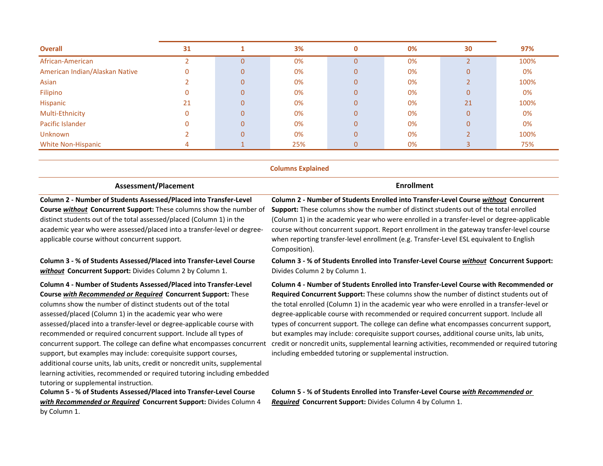| <b>Overall</b>                 | 31 |              | 3%  | 0              | 0% | 30             | 97%  |
|--------------------------------|----|--------------|-----|----------------|----|----------------|------|
| African-American               |    | $\Omega$     | 0%  | 0              | 0% |                | 100% |
| American Indian/Alaskan Native | 0  | $\mathbf{0}$ | 0%  | $\overline{0}$ | 0% | $\Omega$       | 0%   |
| Asian                          |    | $\mathbf{0}$ | 0%  | 0              | 0% |                | 100% |
| Filipino                       |    | $\mathbf{0}$ | 0%  | 0              | 0% | $\mathbf{0}$   | 0%   |
| Hispanic                       | 21 | $\Omega$     | 0%  | $\overline{0}$ | 0% | 21             | 100% |
| Multi-Ethnicity                | 0  | $\mathbf{0}$ | 0%  | $\overline{0}$ | 0% | $\mathbf{0}$   | 0%   |
| Pacific Islander               |    | $\mathbf{0}$ | 0%  | $\overline{0}$ | 0% | $\mathbf{0}$   | 0%   |
| Unknown                        |    | $\Omega$     | 0%  | $\overline{0}$ | 0% |                | 100% |
| <b>White Non-Hispanic</b>      |    |              | 25% | $\mathbf 0$    | 0% | $\overline{3}$ | 75%  |
|                                |    |              |     |                |    |                |      |

**Column 4 - Number of Students Assessed/Placed into Transfer-Level Course** *with Recommended or Required* **Concurrent Support:** These columns show the number of distinct students out of the total assessed/placed (Column 1) in the academic year who were assessed/placed into a transfer-level or degree-applicable course with recommended or required concurrent support. Include all types of concurrent support. The college can define what encompasses concurrent support, but examples may include: corequisite support courses, additional course units, lab units, credit or noncredit units, supplemental **Column 4 - Number of Students Enrolled into Transfer-Level Course with Recommended or Required Concurrent Support:** These columns show the number of distinct students out of the total enrolled (Column 1) in the academic year who were enrolled in a transfer-level or degree-applicable course with recommended or required concurrent support. Include all types of concurrent support. The college can define what encompasses concurrent support, but examples may include: corequisite support courses, additional course units, lab units, credit or noncredit units, supplemental learning activities, recommended or required tutoring including embedded tutoring or supplemental instruction.  **Columns Explained Assessment/Placement Enrollment Column 2 - Number of Students Assessed/Placed into Transfer-Level Course** *without* **Concurrent Support:** These columns show the number of distinct students out of the total assessed/placed (Column 1) in the academic year who were assessed/placed into a transfer-level or degreeapplicable course without concurrent support. **Column 2 - Number of Students Enrolled into Transfer-Level Course** *without* **Concurrent Support:** These columns show the number of distinct students out of the total enrolled (Column 1) in the academic year who were enrolled in a transfer-level or degree-applicable course without concurrent support. Report enrollment in the gateway transfer-level course when reporting transfer-level enrollment (e.g. Transfer-Level ESL equivalent to English Composition). **Column 3 - % of Students Assessed/Placed into Transfer-Level Course**  *without* **Concurrent Support:** Divides Column 2 by Column 1. **Column 3 - % of Students Enrolled into Transfer-Level Course** *without* **Concurrent Support:**  Divides Column 2 by Column 1.

learning activities, recommended or required tutoring including embedded

**Column 5 - % of Students Assessed/Placed into Transfer-Level Course**  *with Recommended or Required* **Concurrent Support:** Divides Column 4

tutoring or supplemental instruction.

by Column 1.

**Column 5 - % of Students Enrolled into Transfer-Level Course** *with Recommended or Required* **Concurrent Support:** Divides Column 4 by Column 1.